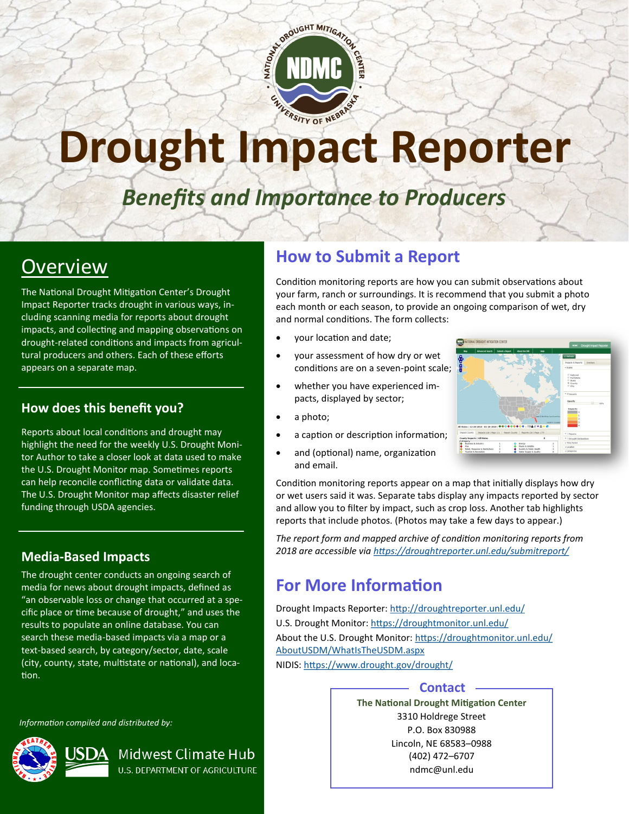

# Drought Impact Reporter

# *Benefits and Importance to Producers*

# **Overview**

The National Drought Mitigation Center's Drought Impact Reporter tracks drought in various ways, including scanning media for reports about drought impacts, and collecting and mapping observations on drought-related conditions and impacts from agricultural producers and others. Each of these efforts appears on a separate map.

#### **How does this benefit you?**

Reports about local conditions and drought may highlight the need for the weekly U.S. Drought Monitor Author to take a closer look at data used to make the U.S. Drought Monitor map. Sometimes reports can help reconcile conflicting data or validate data. The U.S. Drought Monitor map affects disaster relief funding through USDA agencies.

#### **Media-Based Impacts**

The drought center conducts an ongoing search of media for news about drought impacts, defined as "an observable loss or change that occurred at a specific place or time because of drought," and uses the results to populate an online database. You can search these media-based impacts via a map or a text-based search, by category/sector, date, scale (city, county, state, multistate or national), and location.

> Midwest Climate Hub **U.S. DEPARTMENT OF AGRICULTURE**

*Information compiled and distributed by:* 



### **How to Submit a Report**

Condition monitoring reports are how you can submit observations about your farm, ranch or surroundings. It is recommend that you submit a photo each month or each season, to provide an ongoing comparison of wet, dry and normal conditions. The form collects:

- your location and date;
- your assessment of how dry or wet conditions are on a seven-point scale;
- whether you have experienced impacts, displayed by sector;
- a photo;
- a caption or description information;
- and (optional) name, organization and email.



Condition monitoring reports appear on a map that initially displays how dry or wet users said it was. Separate tabs display any impacts reported by sector and allow you to filter by impact, such as crop loss. Another tab highlights reports that include photos. (Photos may take a few days to appear.)

*The report form and mapped archive of condition monitoring reports from 2018 are accessible via <https://droughtreporter.unl.edu/submitreport/>*

# **For More Information**

Drought Impacts Reporter: <http://droughtreporter.unl.edu/> U.S. Drought Monitor:<https://droughtmonitor.unl.edu/> About the U.S. Drought Monitor: [https://droughtmonitor.unl.edu/](https://droughtmonitor.unl.edu/AboutUSDM/WhatIsTheUSDM.aspx) [AboutUSDM/WhatIsTheUSDM.aspx](https://droughtmonitor.unl.edu/AboutUSDM/WhatIsTheUSDM.aspx) NIDIS: <https://www.drought.gov/drought/>

#### **Contact**

**The National Drought Mitigation Center** 3310 Holdrege Street P.O. Box 830988 Lincoln, NE 68583–0988 (402) 472–6707 ndmc@unl.edu